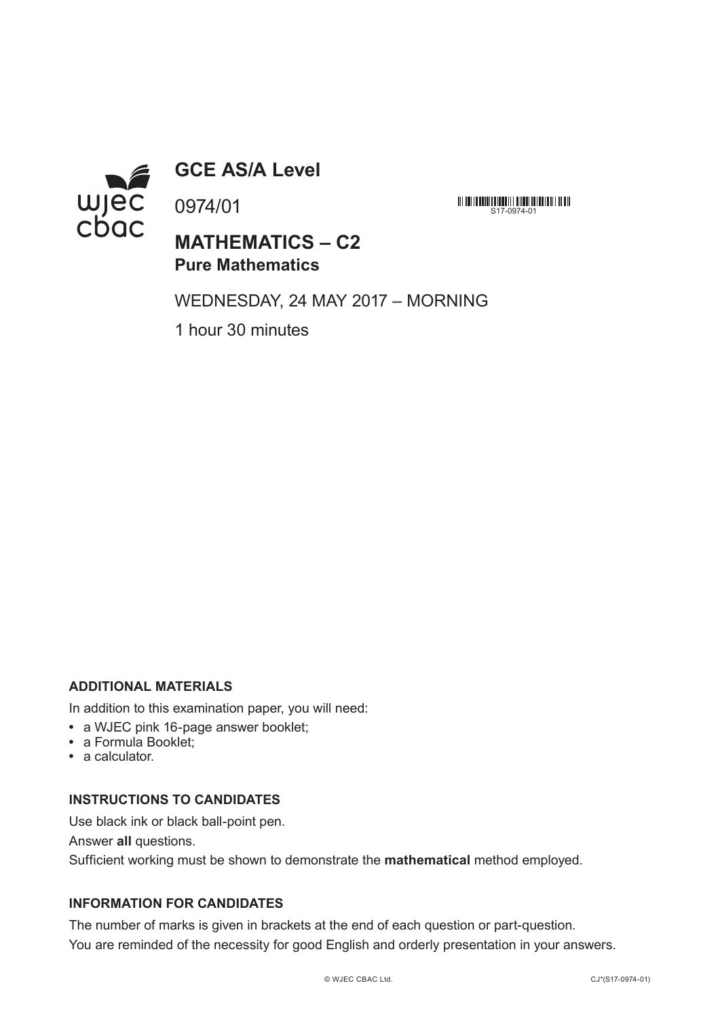

**GCE AS/A Level**

0974/01

**MATHEMATICS – C2 Pure Mathematics**

WEDNESDAY, 24 MAY 2017 – MORNING

S17-0974-01

1 hour 30 minutes

## **ADDITIONAL MATERIALS**

In addition to this examination paper, you will need:

- **•** a WJEC pink 16-page answer booklet;
- **•** a Formula Booklet;
- **•** a calculator.

## **INSTRUCTIONS TO CANDIDATES**

Use black ink or black ball-point pen.

Answer **all** questions.

Sufficient working must be shown to demonstrate the **mathematical** method employed.

## **INFORMATION FOR CANDIDATES**

The number of marks is given in brackets at the end of each question or part-question. You are reminded of the necessity for good English and orderly presentation in your answers.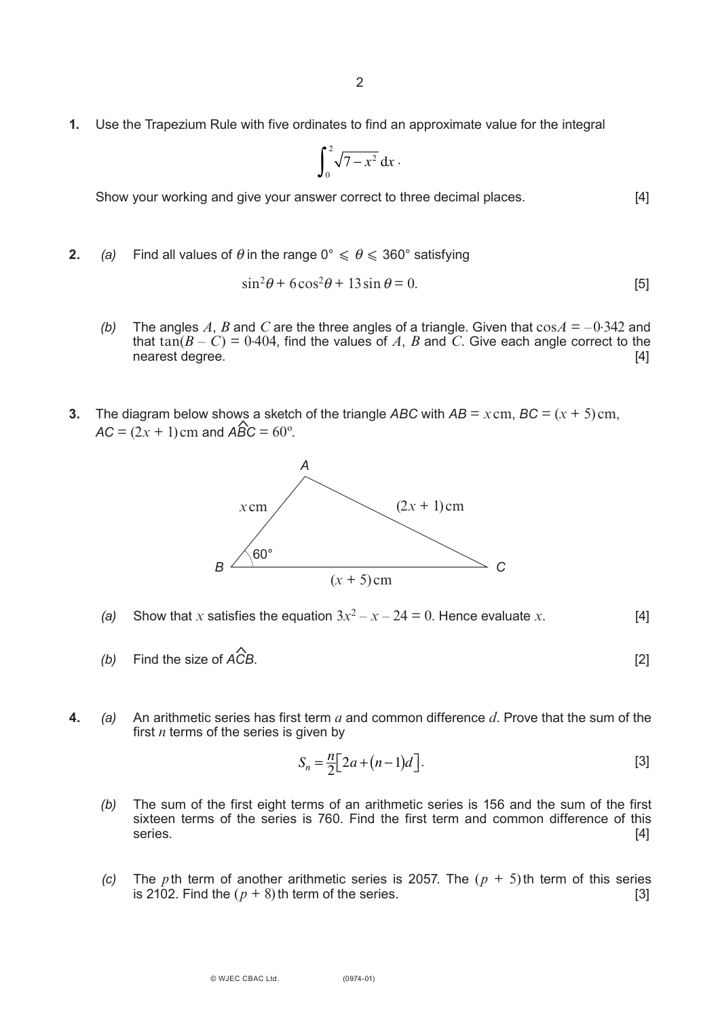**1.** Use the Trapezium Rule with five ordinates to find an approximate value for the integral

$$
\int_0^2 \sqrt{7-x^2}\, \mathrm{d} x\,.
$$

Show your working and give your answer correct to three decimal places. [4]

**2.** *(a)* Find all values of  $\theta$  in the range  $0^\circ \le \theta \le 360^\circ$  satisfying

$$
\sin^2 \theta + 6\cos^2 \theta + 13\sin \theta = 0.
$$
 [5]

- *(b)* The angles A, B and C are the three angles of a triangle. Given that  $\cos A = -0.342$  and that  $tan(B - C) = 0.404$ , find the values of A, B and C. Give each angle correct to the nearest degree. [4]
- **3.** The diagram below shows a sketch of the triangle *ABC* with  $AB = x \text{ cm}$ ,  $BC = (x + 5) \text{ cm}$ ,  $AC = (2x + 1)$  cm and  $\angle ABC = 60^{\circ}$ .



- (a) Show that *x* satisfies the equation  $3x^2 x 24 = 0$ . Hence evaluate *x*. [4]
- *(b)* Find the size of *ACB*. [2]  $\hat{\mathbf{r}}$
- **4.** *(a)* An arithmetic series has first term *a* and common difference *d*. Prove that the sum of the first *n* terms of the series is given by

$$
S_n = \frac{n}{2} \big[ 2a + (n-1)d \big].
$$
 [3]

- *(b)* The sum of the first eight terms of an arithmetic series is 156 and the sum of the first sixteen terms of the series is 760. Find the first term and common difference of this series. [4]
- *(c)* The *p*th term of another arithmetic series is 2057. The  $(p + 5)$ th term of this series is 2102. Find the  $(p + 8)$ th term of the series. is 2102. Find the  $(p + 8)$ th term of the series.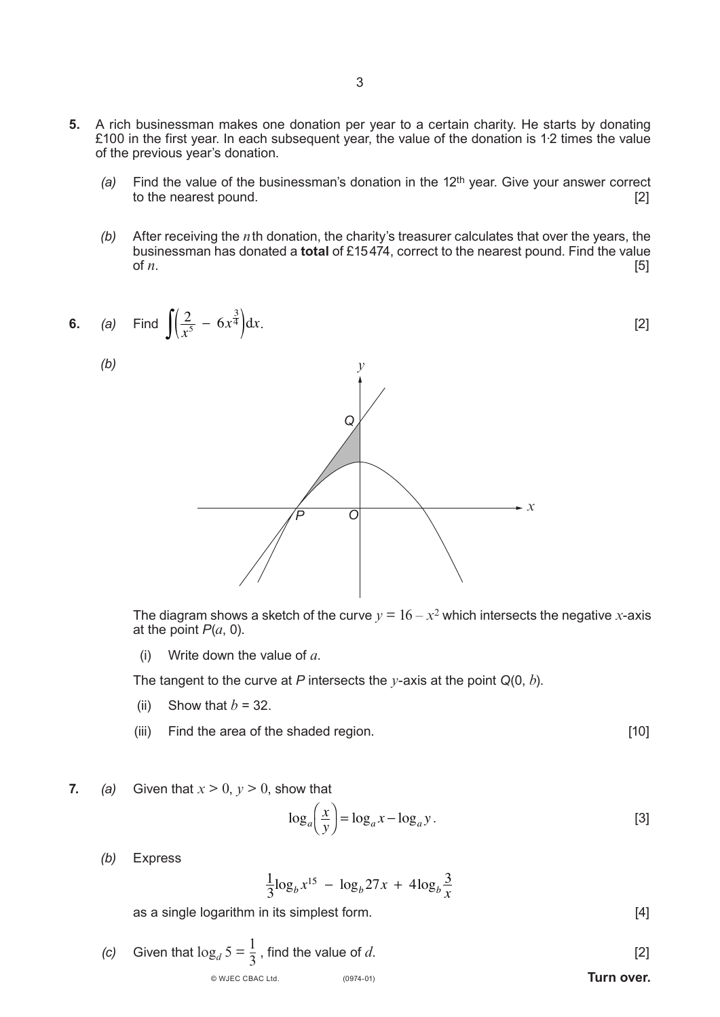- **5.** A rich businessman makes one donation per year to a certain charity. He starts by donating £100 in the first year. In each subsequent year, the value of the donation is 1∙2 times the value of the previous year's donation.
	- *(a)* Find the value of the businessman's donation in the 12th year. Give your answer correct to the nearest pound.
	- *(b)* After receiving the *n*th donation, the charity's treasurer calculates that over the years, the businessman has donated a **total** of £15474, correct to the nearest pound. Find the value of  $n$ . [5]

6. (a) Find 
$$
\int \left(\frac{2}{x^5} - 6x^{\frac{3}{4}}\right) dx
$$
. [2]  
(b)

The diagram shows a sketch of the curve  $y = 16 - x^2$  which intersects the negative *x*-axis at the point  $P(a, 0)$ .

(i) Write down the value of *a*.

The tangent to the curve at *P* intersects the *y*-axis at the point *Q*(0, *b*).

- (ii) Show that  $b = 32$ .
- (iii) Find the area of the shaded region. [10]

**7.** *(a)* Given that  $x > 0$ ,  $y > 0$ , show that

$$
\log_a\left(\frac{x}{y}\right) = \log_a x - \log_a y. \tag{3}
$$

*(b)* Express

$$
\frac{1}{3}\log_b x^{15} - \log_b 27x + 4\log_b \frac{3}{x}
$$

as a single logarithm in its simplest form. [4]

(0974-01) **Turn over.** © WJEC CBAC Ltd. *(c)* Given that  $\log_d 5 = \frac{1}{3}$ , find the value of *d*. [2]